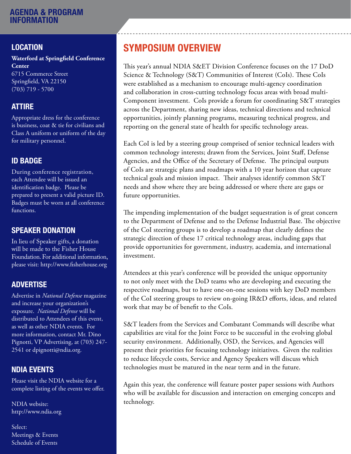# LOCATION

**Waterford at Springfield Conference Center**

6715 Commerce Street Springfield, VA 22150 (703) 719 - 5700

## ATTIRE

Appropriate dress for the conference is business, coat & tie for civilians and Class A uniform or uniform of the day for military personnel.

# ID BADGE

During conference registration, each Attendee will be issued an identification badge. Please be prepared to present a valid picture ID. Badges must be worn at all conference functions.

## SPEAKER DONATION

In lieu of Speaker gifts, a donation will be made to the Fisher House Foundation. For additional information, please visit: http://www.fisherhouse.org

## ADVERTISE

Advertise in *National Defense* magazine and increase your organization's exposure. *National Defense* will be distributed to Attendees of this event, as well as other NDIA events. For more information, contact Mr. Dino Pignotti, VP Advertising, at (703) 247- 2541 or dpignotti@ndia.org.

# NDIA EVENTS

Please visit the NDIA website for a complete listing of the events we offer.

NDIA website: http://www.ndia.org

Select: Meetings & Events Schedule of Events

# SYMPOSIUM OVERVIEW

This year's annual NDIA S&ET Division Conference focuses on the 17 DoD Science & Technology (S&T) Communities of Interest (CoIs). These CoIs were established as a mechanism to encourage multi-agency coordination and collaboration in cross-cutting technology focus areas with broad multi-Component investment. CoIs provide a forum for coordinating S&T strategies across the Department, sharing new ideas, technical directions and technical opportunities, jointly planning programs, measuring technical progress, and reporting on the general state of health for specific technology areas.

Each CoI is led by a steering group comprised of senior technical leaders with common technology interests; drawn from the Services, Joint Staff, Defense Agencies, and the Office of the Secretary of Defense. The principal outputs of CoIs are strategic plans and roadmaps with a 10 year horizon that capture technical goals and mission impact. Their analyses identify common S&T needs and show where they are being addressed or where there are gaps or future opportunities.

The impending implementation of the budget sequestration is of great concern to the Department of Defense and to the Defense Industrial Base. The objective of the CoI steering groups is to develop a roadmap that clearly defines the strategic direction of these 17 critical technology areas, including gaps that provide opportunities for government, industry, academia, and international investment.

Attendees at this year's conference will be provided the unique opportunity to not only meet with the DoD teams who are developing and executing the respective roadmaps, but to have one-on-one sessions with key DoD members of the CoI steering groups to review on-going IR&D efforts, ideas, and related work that may be of benefit to the CoIs.

S&T leaders from the Services and Combatant Commands will describe what capabilities are vital for the Joint Force to be successful in the evolving global security environment. Additionally, OSD, the Services, and Agencies will present their priorities for focusing technology initiatives. Given the realities to reduce lifecycle costs, Service and Agency Speakers will discuss which technologies must be matured in the near term and in the future.

Again this year, the conference will feature poster paper sessions with Authors who will be available for discussion and interaction on emerging concepts and technology.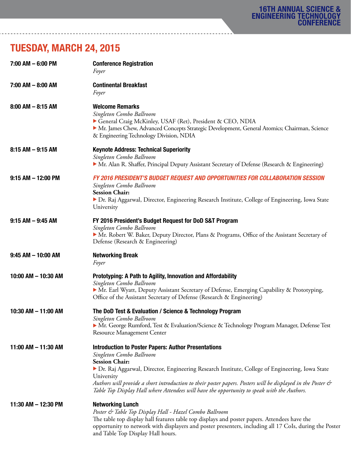# TUESDAY, MARCH 24, 2015

| 7:00 AM - 6:00 PM      | <b>Conference Registration</b><br>Foyer                                                                                                                                                                                                                                                                                                                                                                                                         |
|------------------------|-------------------------------------------------------------------------------------------------------------------------------------------------------------------------------------------------------------------------------------------------------------------------------------------------------------------------------------------------------------------------------------------------------------------------------------------------|
| $7:00$ AM $-$ 8:00 AM  | <b>Continental Breakfast</b><br>Foyer                                                                                                                                                                                                                                                                                                                                                                                                           |
| $8:00$ AM $-$ 8:15 AM  | <b>Welcome Remarks</b><br>Singleton Combo Ballroom<br>General Craig McKinley, USAF (Ret), President & CEO, NDIA<br>• Mr. James Chew, Advanced Concepts Strategic Development, General Atomics; Chairman, Science<br>& Engineering Technology Division, NDIA                                                                                                                                                                                     |
| $8:15$ AM $-9:15$ AM   | <b>Keynote Address: Technical Superiority</b><br>Singleton Combo Ballroom<br>• Mr. Alan R. Shaffer, Principal Deputy Assistant Secretary of Defense (Research & Engineering)                                                                                                                                                                                                                                                                    |
| $9:15$ AM $-$ 12:00 PM | <b>FY 2016 PRESIDENT'S BUDGET REQUEST AND OPPORTUNITIES FOR COLLABORATION SESSION</b><br>Singleton Combo Ballroom<br><b>Session Chair:</b><br>> Dr. Raj Aggarwal, Director, Engineering Research Institute, College of Engineering, Iowa State<br>University                                                                                                                                                                                    |
| $9:15$ AM $-$ 9:45 AM  | FY 2016 President's Budget Request for DoD S&T Program<br>Singleton Combo Ballroom<br>• Mr. Robert W. Baker, Deputy Director, Plans & Programs, Office of the Assistant Secretary of<br>Defense (Research & Engineering)                                                                                                                                                                                                                        |
| $9:45$ AM $-$ 10:00 AM | <b>Networking Break</b><br>Foyer                                                                                                                                                                                                                                                                                                                                                                                                                |
| 10:00 AM - 10:30 AM    | Prototyping: A Path to Agility, Innovation and Affordability<br>Singleton Combo Ballroom<br>• Mr. Earl Wyatt, Deputy Assistant Secretary of Defense, Emerging Capability & Prototyping,<br>Office of the Assistant Secretary of Defense (Research & Engineering)                                                                                                                                                                                |
| 10:30 AM - 11:00 AM    | The DoD Test & Evaluation / Science & Technology Program<br>Singleton Combo Ballroom<br>• Mr. George Rumford, Test & Evaluation/Science & Technology Program Manager, Defense Test<br>Resource Management Center                                                                                                                                                                                                                                |
| 11:00 AM - 11:30 AM    | <b>Introduction to Poster Papers: Author Presentations</b><br>Singleton Combo Ballroom<br><b>Session Chair:</b><br>▶ Dr. Raj Aggarwal, Director, Engineering Research Institute, College of Engineering, Iowa State<br>University<br>Authors will provide a short introduction to their poster papers. Posters will be displayed in the Poster &<br>Table Top Display Hall where Attendees will have the opportunity to speak with the Authors. |
| 11:30 AM - 12:30 PM    | <b>Networking Lunch</b><br>Poster & Table Top Display Hall - Hazel Combo Ballroom<br>The table top display hall features table top displays and poster papers. Attendees have the<br>opportunity to network with displayers and poster presenters, including all 17 CoIs, during the Poster<br>and Table Top Display Hall hours.                                                                                                                |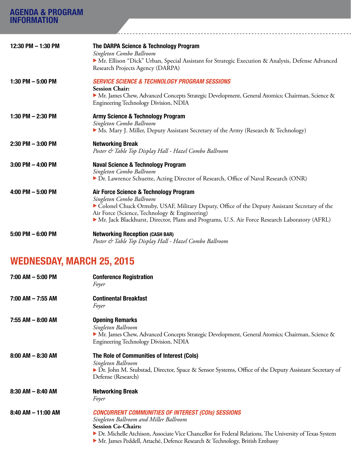| <b>AGENDA &amp; PROGRAM</b> |                                                                                                                                                                                                                                                                                                                     |
|-----------------------------|---------------------------------------------------------------------------------------------------------------------------------------------------------------------------------------------------------------------------------------------------------------------------------------------------------------------|
| <b>INFORMATION</b>          |                                                                                                                                                                                                                                                                                                                     |
| 12:30 PM - 1:30 PM          | The DARPA Science & Technology Program<br>Singleton Combo Ballroom<br>Mr. Ellison "Dick" Urban, Special Assistant for Strategic Execution & Analysis, Defense Advanced<br>Research Projects Agency (DARPA)                                                                                                          |
| 1:30 PM $-$ 5:00 PM         | <b>SERVICE SCIENCE &amp; TECHNOLOGY PROGRAM SESSIONS</b><br><b>Session Chair:</b><br>• Mr. James Chew, Advanced Concepts Strategic Development, General Atomics; Chairman, Science &<br>Engineering Technology Division, NDIA                                                                                       |
| 1:30 PM $-$ 2:30 PM         | <b>Army Science &amp; Technology Program</b><br>Singleton Combo Ballroom<br>• Ms. Mary J. Miller, Deputy Assistant Secretary of the Army (Research & Technology)                                                                                                                                                    |
| $2:30$ PM $-3:00$ PM        | <b>Networking Break</b><br>Poster & Table Top Display Hall - Hazel Combo Ballroom                                                                                                                                                                                                                                   |
| $3:00$ PM $-$ 4:00 PM       | <b>Naval Science &amp; Technology Program</b><br>Singleton Combo Ballroom<br>> Dr. Lawrence Schuette, Acting Director of Research, Office of Naval Research (ONR)                                                                                                                                                   |
| 4:00 PM $-$ 5:00 PM         | Air Force Science & Technology Program<br>Singleton Combo Ballroom<br>Colonel Chuck Ormsby, USAF, Military Deputy, Office of the Deputy Assistant Secretary of the<br>Air Force (Science, Technology & Engineering)<br>Mr. Jack Blackhurst, Director, Plans and Programs, U.S. Air Force Research Laboratory (AFRL) |
| $5:00$ PM $-6:00$ PM        | <b>Networking Reception (CASH BAR)</b><br>Poster & Table Top Display Hall - Hazel Combo Ballroom                                                                                                                                                                                                                    |

# WEDNESDAY, MARCH 25, 2015

| $7:00$ AM $-5:00$ PM   | <b>Conference Registration</b><br>Foyer                                                                                                                                                                                                                                                                                    |
|------------------------|----------------------------------------------------------------------------------------------------------------------------------------------------------------------------------------------------------------------------------------------------------------------------------------------------------------------------|
| $7:00$ AM $-7:55$ AM   | <b>Continental Breakfast</b><br>Foyer                                                                                                                                                                                                                                                                                      |
| $7:55$ AM $-$ 8:00 AM  | <b>Opening Remarks</b><br>Singleton Ballroom<br>Mr. James Chew, Advanced Concepts Strategic Development, General Atomics; Chairman, Science &<br>Engineering Technology Division, NDIA                                                                                                                                     |
| $8:00$ AM $-$ 8:30 AM  | The Role of Communities of Interest (Cols)<br>Singleton Ballroom<br>> Dr. John M. Stubstad, Director, Space & Sensor Systems, Office of the Deputy Assistant Secretary of<br>Defense (Research)                                                                                                                            |
| $8:30$ AM $-$ 8:40 AM  | <b>Networking Break</b><br>Foyer                                                                                                                                                                                                                                                                                           |
| $8:40$ AM $-$ 11:00 AM | <b>CONCURRENT COMMUNITIES OF INTEREST (COIS) SESSIONS</b><br>Singleton Ballroom and Miller Ballroom<br><b>Session Co-Chairs:</b><br>Dr. Michelle Atchison, Associate Vice Chancellor for Federal Relations, The University of Texas System<br>• Mr. James Peddell, Attaché, Defence Research & Technology, British Embassy |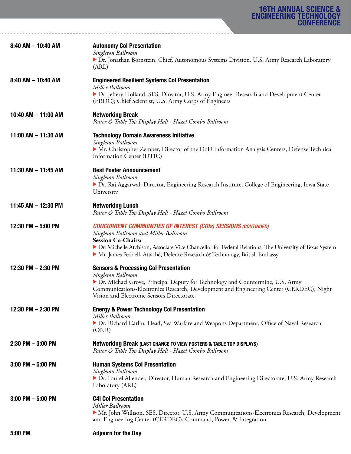| 8:40 AM - 10:40 AM     | <b>Autonomy Col Presentation</b><br>Singleton Ballroom<br>> Dr. Jonathan Bornstein, Chief, Autonomous Systems Division, U.S. Army Research Laboratory<br>(ARL)                                                                                                                                                                           |
|------------------------|------------------------------------------------------------------------------------------------------------------------------------------------------------------------------------------------------------------------------------------------------------------------------------------------------------------------------------------|
| $8:40$ AM $-$ 10:40 AM | <b>Engineered Resilient Systems Col Presentation</b><br>Miller Ballroom<br>> Dr. Jeffery Holland, SES, Director, U.S. Army Engineer Research and Development Center<br>(ERDC); Chief Scientist, U.S. Army Corps of Engineers                                                                                                             |
| 10:40 AM - 11:00 AM    | <b>Networking Break</b><br>Poster & Table Top Display Hall - Hazel Combo Ballroom                                                                                                                                                                                                                                                        |
| 11:00 AM - 11:30 AM    | <b>Technology Domain Awareness Initiative</b><br>Singleton Ballroom<br>• Mr. Christopher Zember, Director of the DoD Information Analysis Centers, Defense Technical<br>Information Center (DTIC)                                                                                                                                        |
| 11:30 AM - 11:45 AM    | <b>Best Poster Announcement</b><br>Singleton Ballroom<br>> Dr. Raj Aggarwal, Director, Engineering Research Institute, College of Engineering, Iowa State<br>University                                                                                                                                                                  |
| 11:45 AM - 12:30 PM    | <b>Networking Lunch</b><br>Poster & Table Top Display Hall - Hazel Combo Ballroom                                                                                                                                                                                                                                                        |
| 12:30 PM $-$ 5:00 PM   | <b>CONCURRENT COMMUNITIES OF INTEREST (COIS) SESSIONS (CONTINUED)</b><br>Singleton Ballroom and Miller Ballroom<br><b>Session Co-Chairs:</b><br>> Dr. Michelle Atchison, Associate Vice Chancellor for Federal Relations, The University of Texas System<br>• Mr. James Peddell, Attaché, Defence Research & Technology, British Embassy |
| 12:30 PM $-$ 2:30 PM   | <b>Sensors &amp; Processing Col Presentation</b><br>Singleton Ballroom<br>Dr. Michael Grove, Principal Deputy for Technology and Countermine, U.S. Army<br>Communications-Electronics Research, Development and Engineering Center (CERDEC), Night<br>Vision and Electronic Sensors Directorate                                          |
| 12:30 PM - 2:30 PM     | <b>Energy &amp; Power Technology Col Presentation</b><br>Miller Ballroom<br>> Dr. Richard Carlin, Head, Sea Warfare and Weapons Department, Office of Naval Research<br>(ONR)                                                                                                                                                            |
| $2:30$ PM $-3:00$ PM   | Networking Break (LAST CHANCE TO VIEW POSTERS & TABLE TOP DISPLAYS)<br>Poster & Table Top Display Hall - Hazel Combo Ballroom                                                                                                                                                                                                            |
| $3:00$ PM $-5:00$ PM   | <b>Human Systems Col Presentation</b><br>Singleton Ballroom<br>▶ Dr. Laurel Allender, Director, Human Research and Engineering Directorate, U.S. Army Research<br>Laboratory (ARL)                                                                                                                                                       |
| $3:00$ PM $-5:00$ PM   | <b>C4I Col Presentation</b><br>Miller Ballroom<br>• Mr. John Willison, SES, Director, U.S. Army Communications-Electronics Research, Development<br>and Engineering Center (CERDEC), Command, Power, & Integration                                                                                                                       |
| 5:00 PM                | <b>Adjourn for the Day</b>                                                                                                                                                                                                                                                                                                               |

<u>. . . . . . . . . . . . . . . . .</u>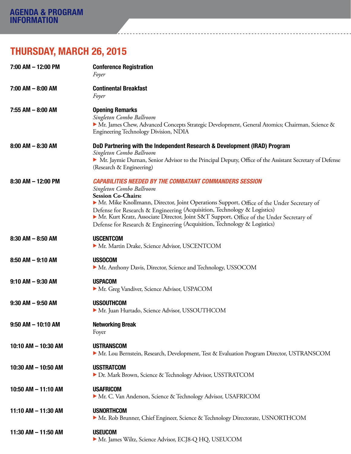# THURSDAY, MARCH 26, 2015

| 7:00 AM - 12:00 PM     | <b>Conference Registration</b><br>Foyer                                                                                                                                                                                                                                                                                                                                                                                                                                    |
|------------------------|----------------------------------------------------------------------------------------------------------------------------------------------------------------------------------------------------------------------------------------------------------------------------------------------------------------------------------------------------------------------------------------------------------------------------------------------------------------------------|
| $7:00$ AM $-$ 8:00 AM  | <b>Continental Breakfast</b><br>Foyer                                                                                                                                                                                                                                                                                                                                                                                                                                      |
| 7:55 AM - 8:00 AM      | <b>Opening Remarks</b><br>Singleton Combo Ballroom<br>Mr. James Chew, Advanced Concepts Strategic Development, General Atomics; Chairman, Science &<br>Engineering Technology Division, NDIA                                                                                                                                                                                                                                                                               |
| $8:00$ AM $-$ 8:30 AM  | DoD Partnering with the Independent Research & Development (IRAD) Program<br>Singleton Combo Ballroom<br>• Mr. Jaymie Durnan, Senior Advisor to the Principal Deputy, Office of the Assistant Secretary of Defense<br>(Research & Engineering)                                                                                                                                                                                                                             |
| $8:30$ AM $-$ 12:00 PM | <b>CAPABILITIES NEEDED BY THE COMBATANT COMMANDERS SESSION</b><br>Singleton Combo Ballroom<br><b>Session Co-Chairs:</b><br>• Mr. Mike Knollmann, Director, Joint Operations Support, Office of the Under Secretary of<br>Defense for Research & Engineering (Acquisition, Technology & Logistics)<br>• Mr. Kurt Kratz, Associate Director, Joint S&T Support, Office of the Under Secretary of<br>Defense for Research & Engineering (Acquisition, Technology & Logistics) |
| $8:30$ AM $-$ 8:50 AM  | <b>USCENTCOM</b><br>Mr. Martin Drake, Science Advisor, USCENTCOM                                                                                                                                                                                                                                                                                                                                                                                                           |
| $8:50$ AM $-9:10$ AM   | <b>USSOCOM</b><br>• Mr. Anthony Davis, Director, Science and Technology, USSOCOM                                                                                                                                                                                                                                                                                                                                                                                           |
| $9:10$ AM $-9:30$ AM   | <b>USPACOM</b><br>Mr. Greg Vandiver, Science Advisor, USPACOM                                                                                                                                                                                                                                                                                                                                                                                                              |
| $9:30$ AM $-9:50$ AM   | <b>USSOUTHCOM</b><br>Mr. Juan Hurtado, Science Advisor, USSOUTHCOM                                                                                                                                                                                                                                                                                                                                                                                                         |
| $9:50$ AM $- 10:10$ AM | <b>Networking Break</b><br>Foyer                                                                                                                                                                                                                                                                                                                                                                                                                                           |
| 10:10 AM - 10:30 AM    | <b>USTRANSCOM</b><br>• Mr. Lou Bernstein, Research, Development, Test & Evaluation Program Director, USTRANSCOM                                                                                                                                                                                                                                                                                                                                                            |
| 10:30 AM - 10:50 AM    | <b>USSTRATCOM</b><br>Dr. Mark Brown, Science & Technology Advisor, USSTRATCOM                                                                                                                                                                                                                                                                                                                                                                                              |
| 10:50 AM - 11:10 AM    | <b>USAFRICOM</b><br>Mr. C. Van Anderson, Science & Technology Advisor, USAFRICOM                                                                                                                                                                                                                                                                                                                                                                                           |
| 11:10 AM - 11:30 AM    | <b>USNORTHCOM</b><br>• Mr. Rob Brunner, Chief Engineer, Science & Technology Directorate, USNORTHCOM                                                                                                                                                                                                                                                                                                                                                                       |
| 11:30 AM - 11:50 AM    | <b>USEUCOM</b><br>Mr. James Wiltz, Science Advisor, ECJ8-Q HQ, USEUCOM                                                                                                                                                                                                                                                                                                                                                                                                     |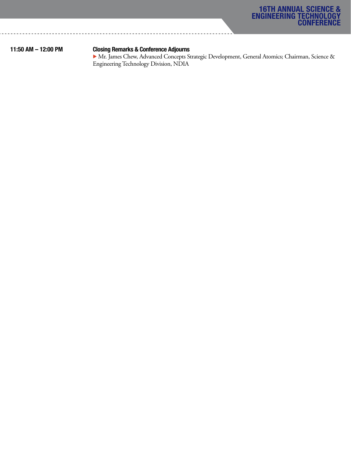

### 11:50 AM – 12:00 PM Closing Remarks & Conference Adjourns

 $\blacktriangleright$  Mr. James Chew, Advanced Concepts Strategic Development, General Atomics; Chairman, Science & Engineering Technology Division, NDIA